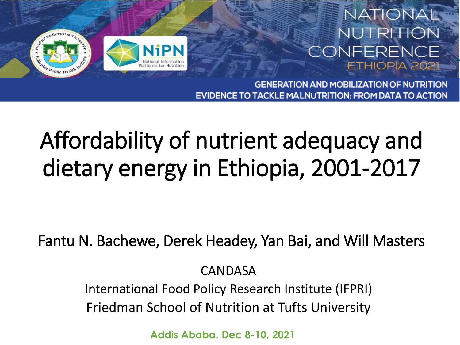

#### NATIONAL NUTRITION CONFERENCE ETHIOPIA 202

**GENERATION AND MOBILIZATION OF NUTRITION** EVIDENCE TO TACKLE MALNUTRITION: FROM DATA TO ACTION

### Affordability of nutrient adequacy and dietary energy in Ethiopia, 2001-2017

Fantu N. Bachewe, Derek Headey, Yan Bai, and Will Masters

CANDASA

International Food Policy Research Institute (IFPRI) Friedman School of Nutrition at Tufts University

**Addis Ababa, Dec 8-10, 2021**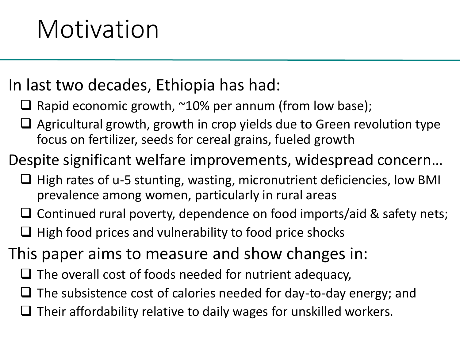#### In last two decades, Ethiopia has had:

- $\Box$  Rapid economic growth,  $\sim$ 10% per annum (from low base);
- $\Box$  Agricultural growth, growth in crop yields due to Green revolution type focus on fertilizer, seeds for cereal grains, fueled growth

#### Despite significant welfare improvements, widespread concern…

- $\Box$  High rates of u-5 stunting, wasting, micronutrient deficiencies, low BMI prevalence among women, particularly in rural areas
- $\Box$  Continued rural poverty, dependence on food imports/aid & safety nets;
- $\Box$  High food prices and vulnerability to food price shocks

#### This paper aims to measure and show changes in:

- $\Box$  The overall cost of foods needed for nutrient adequacy,
- $\Box$  The subsistence cost of calories needed for day-to-day energy; and
- $\Box$  Their affordability relative to daily wages for unskilled workers.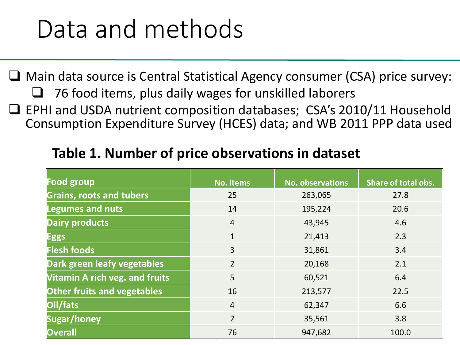### Data and methods

□ Main data source is Central Statistical Agency consumer (CSA) price survey: 76 food items, plus daily wages for unskilled laborers  $\Box$  EPHI and USDA nutrient composition databases; CSA's 2010/11 Household

Consumption Expenditure Survey (HCES) data; and WB 2011 PPP data used

| <b>Food group</b>                     | No. items      | <b>No. observations</b> | <b>Share of total obs.</b> |
|---------------------------------------|----------------|-------------------------|----------------------------|
| <b>Grains, roots and tubers</b>       | 25             | 263,065                 | 27.8                       |
| <b>Legumes and nuts</b>               | 14             | 195,224                 | 20.6                       |
| <b>Dairy products</b>                 | $\overline{4}$ | 43,945                  | 4.6                        |
| <b>Eggs</b>                           | $\mathbf{1}$   | 21,413                  | 2.3                        |
| <b>Flesh foods</b>                    | $\overline{3}$ | 31,861                  | 3.4                        |
| Dark green leafy vegetables           | $\overline{2}$ | 20,168                  | 2.1                        |
| <b>Vitamin A rich veg. and fruits</b> | 5              | 60,521                  | 6.4                        |
| <b>Other fruits and vegetables</b>    | 16             | 213,577                 | 22.5                       |
| Oil/fats                              | $\overline{4}$ | 62,347                  | 6.6                        |
| Sugar/honey                           | $\overline{2}$ | 35,561                  | 3.8                        |
| <b>Overall</b>                        | 76             | 947,682                 | 100.0                      |

#### **Table 1. Number of price observations in dataset**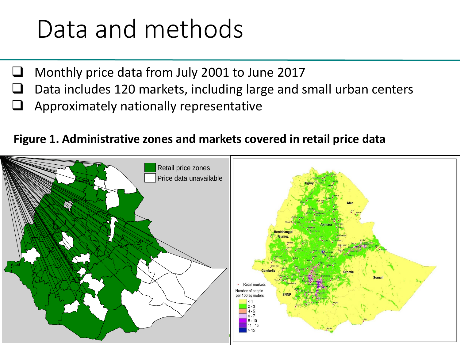### Data and methods

- $\Box$  Monthly price data from July 2001 to June 2017
- $\Box$  Data includes 120 markets, including large and small urban centers
- Approximately nationally representative

#### **Figure 1. Administrative zones and markets covered in retail price data**

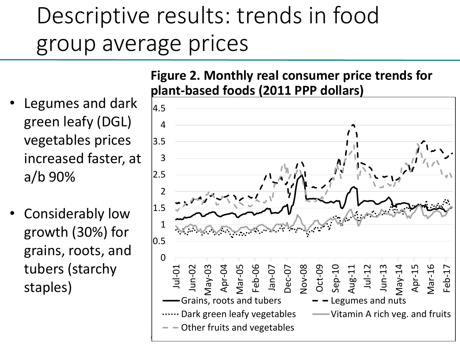### Descriptive results: trends in food group average prices

- Legumes and dark green leafy (DGL) vegetables prices increased faster, at a/b 90%
- Considerably low growth (30%) for grains, roots, and tubers (starchy staples)



**Figure 2. Monthly real consumer price trends for**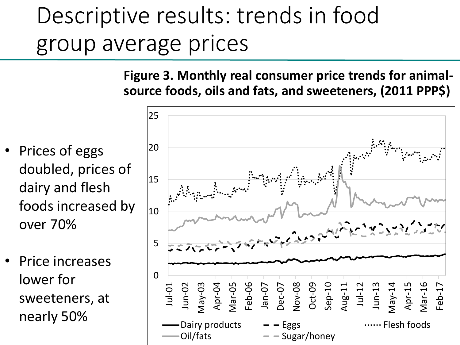### Descriptive results: trends in food group average prices

**Figure 3. Monthly real consumer price trends for animalsource foods, oils and fats, and sweeteners, (2011 PPP\$)**

- Prices of eggs doubled, prices of dairy and flesh foods increased by over 70%
- Price increases lower for sweeteners, at nearly 50%

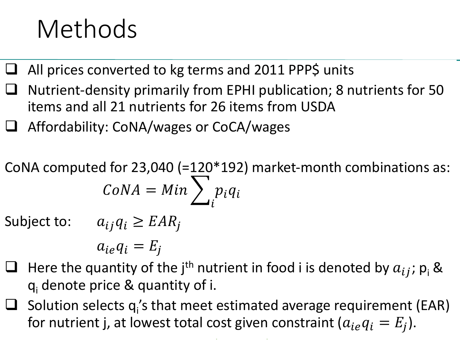## Methods

- All prices converted to kg terms and 2011 PPP\$ units
- Nutrient-density primarily from EPHI publication; 8 nutrients for 50 items and all 21 nutrients for 26 items from USDA
- Affordability: CoNA/wages or CoCA/wages

CoNA computed for 23,040 (=120\*192) market-month combinations as:  $CoNA = Min$  >  $\iota$  $p_i q_i$ 

Subject to:  $a_{ij}q_i \geq EAR_j$ 

 $a_{ie}q_i = E_i$ 

- $\Box$  Here the quantity of the j<sup>th</sup> nutrient in food i is denoted by  $a_{ij}$ ;  $p_i$  & q<sup>i</sup> denote price & quantity of i.
- $\Box$  Solution selects  $q_i$ 's that meet estimated average requirement (EAR) for nutrient j, at lowest total cost given constraint ( $a_{ie}q_i = E_j$ ).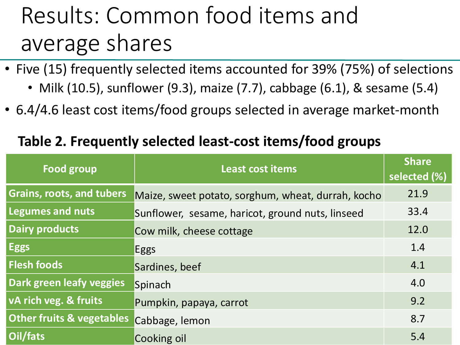### Results: Common food items and average shares

- Five (15) frequently selected items accounted for 39% (75%) of selections
	- Milk (10.5), sunflower (9.3), maize (7.7), cabbage (6.1), & sesame (5.4)
- 6.4/4.6 least cost items/food groups selected in average market-month

#### **Table 2. Frequently selected least-cost items/food groups**

| <b>Food group</b>                    | <b>Least cost items</b>                            | <b>Share</b><br>selected (%) |
|--------------------------------------|----------------------------------------------------|------------------------------|
| <b>Grains, roots, and tubers</b>     | Maize, sweet potato, sorghum, wheat, durrah, kocho | 21.9                         |
| <b>Legumes and nuts</b>              | Sunflower, sesame, haricot, ground nuts, linseed   | 33.4                         |
| <b>Dairy products</b>                | Cow milk, cheese cottage                           | 12.0                         |
| <b>Eggs</b>                          | <b>Eggs</b>                                        | 1.4                          |
| <b>Flesh foods</b>                   | Sardines, beef                                     | 4.1                          |
| Dark green leafy veggies             | Spinach                                            | 4.0                          |
| vA rich veg. & fruits                | Pumpkin, papaya, carrot                            | 9.2                          |
| <b>Other fruits &amp; vegetables</b> | Cabbage, lemon                                     | 8.7                          |
| Oil/fats                             | Cooking oil                                        | 5.4                          |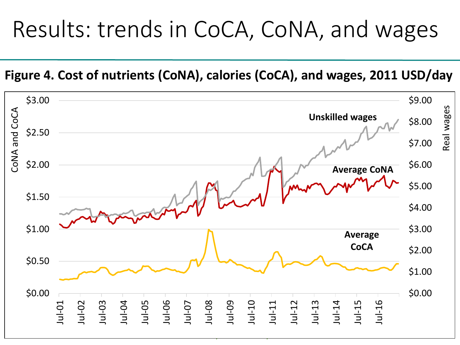### Results: trends in CoCA, CoNA, and wages

**Figure 4. Cost of nutrients (CoNA), calories (CoCA), and wages, 2011 USD/day**

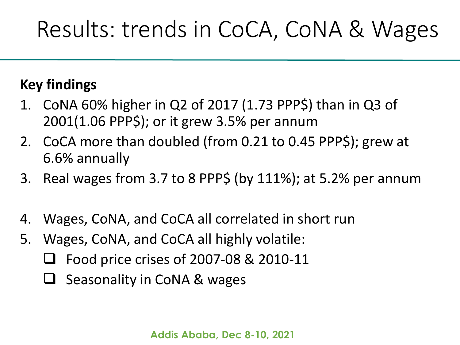### Results: trends in CoCA, CoNA & Wages

#### **Key findings**

- 1. CoNA 60% higher in Q2 of 2017 (1.73 PPP\$) than in Q3 of 2001(1.06 PPP\$); or it grew 3.5% per annum
- 2. CoCA more than doubled (from 0.21 to 0.45 PPP\$); grew at 6.6% annually
- 3. Real wages from 3.7 to 8 PPP\$ (by 111%); at 5.2% per annum
- 4. Wages, CoNA, and CoCA all correlated in short run
- 5. Wages, CoNA, and CoCA all highly volatile:
	- Food price crises of 2007-08 & 2010-11
	- $\Box$  Seasonality in CoNA & wages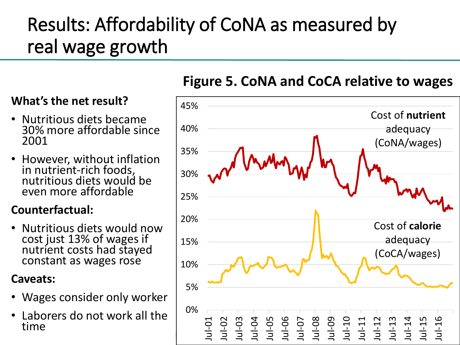### Results: Affordability of CoNA as measured by real wage growth

#### **What's the net result?**

- Nutritious diets became 30% more affordable since 2001
- However, without inflation in nutrient-rich foods, nutritious diets would be even more affordable

#### **Counterfactual:**

• Nutritious diets would now cost just 13% of wages if nutrient costs had stayed constant as wages rose

#### **Caveats:**

- Wages consider only worker
- Laborers do not work all the time



#### **Figure 5. CoNA and CoCA relative to wages**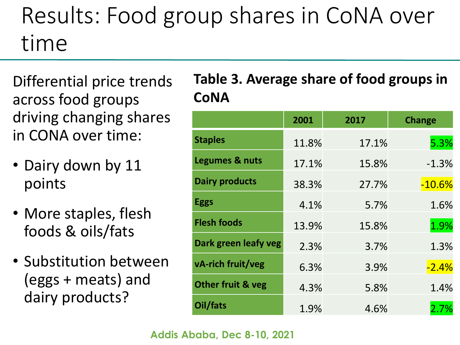### Results: Food group shares in CoNA over time

Differential price trends across food groups driving changing shares in CONA over time:

- Dairy down by 11 points
- More staples, flesh foods & oils/fats
- Substitution between (eggs + meats) and dairy products?

#### **Table 3. Average share of food groups in CoNA**

|                       | 2001  | 2017  | <b>Change</b> |
|-----------------------|-------|-------|---------------|
| <b>Staples</b>        | 11.8% | 17.1% | 5.3%          |
| Legumes & nuts        | 17.1% | 15.8% | $-1.3%$       |
| <b>Dairy products</b> | 38.3% | 27.7% | $-10.6%$      |
| <b>Eggs</b>           | 4.1%  | 5.7%  | 1.6%          |
| <b>Flesh foods</b>    | 13.9% | 15.8% | 1.9%          |
| Dark green leafy veg  | 2.3%  | 3.7%  | 1.3%          |
| vA-rich fruit/veg     | 6.3%  | 3.9%  | $-2.4%$       |
| Other fruit & veg     | 4.3%  | 5.8%  | 1.4%          |
| Oil/fats              | 1.9%  | 4.6%  | 2.7%          |

#### **Addis Ababa, Dec 8-10, 2021**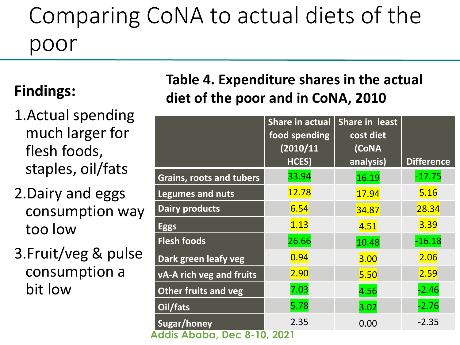### Comparing CoNA to actual diets of the poor

#### **Findings:**

- 1.Actual spending much larger for flesh foods, staples, oil/fats
- 2.Dairy and eggs consumption way too low
- 3.Fruit/veg & pulse consumption a bit low

#### **Table 4. Expenditure shares in the actual diet of the poor and in CoNA, 2010**

|                                 | <b>Share in actual</b><br>food spending<br>(2010/11<br>HCES) | Share in least<br>cost diet<br>(CoNA<br>analysis) | <b>Difference</b> |  |  |  |
|---------------------------------|--------------------------------------------------------------|---------------------------------------------------|-------------------|--|--|--|
| Grains, roots and tubers        | 33.94                                                        | 16.19                                             | $-17.75$          |  |  |  |
| <b>Legumes and nuts</b>         | 12.78                                                        | 17.94                                             | 5.16              |  |  |  |
| <b>Dairy products</b>           | 6.54                                                         | 34.87                                             | 28.34             |  |  |  |
| <b>Eggs</b>                     | 1.13                                                         | 4.51                                              | 3.39              |  |  |  |
| <b>Flesh foods</b>              | 26.66                                                        | 10.48                                             | $-16.18$          |  |  |  |
| Dark green leafy veg            | 0.94                                                         | 3.00                                              | 2.06              |  |  |  |
| <b>vA-A rich veg and fruits</b> | 2.90                                                         | 5.50                                              | 2.59              |  |  |  |
| <b>Other fruits and veg</b>     | 7.03                                                         | 4.56                                              | $-2.46$           |  |  |  |
| Oil/fats                        | 5.78                                                         | 3.02                                              | $-2.76$           |  |  |  |
| <b>Sugar/honey</b>              | 2.35                                                         | 0.00                                              | $-2.35$           |  |  |  |
| Addis Ababa, Dec 8-10, 2021     |                                                              |                                                   |                   |  |  |  |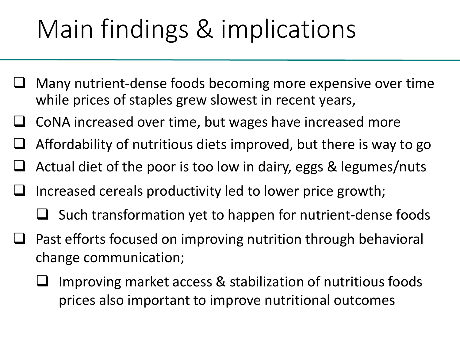# Main findings & implications

- Many nutrient-dense foods becoming more expensive over time while prices of staples grew slowest in recent years,
- CoNA increased over time, but wages have increased more
- Affordability of nutritious diets improved, but there is way to go
- Actual diet of the poor is too low in dairy, eggs & legumes/nuts
- Increased cereals productivity led to lower price growth;
	- $\Box$  Such transformation yet to happen for nutrient-dense foods
- Past efforts focused on improving nutrition through behavioral change communication;
	- Improving market access & stabilization of nutritious foods prices also important to improve nutritional outcomes